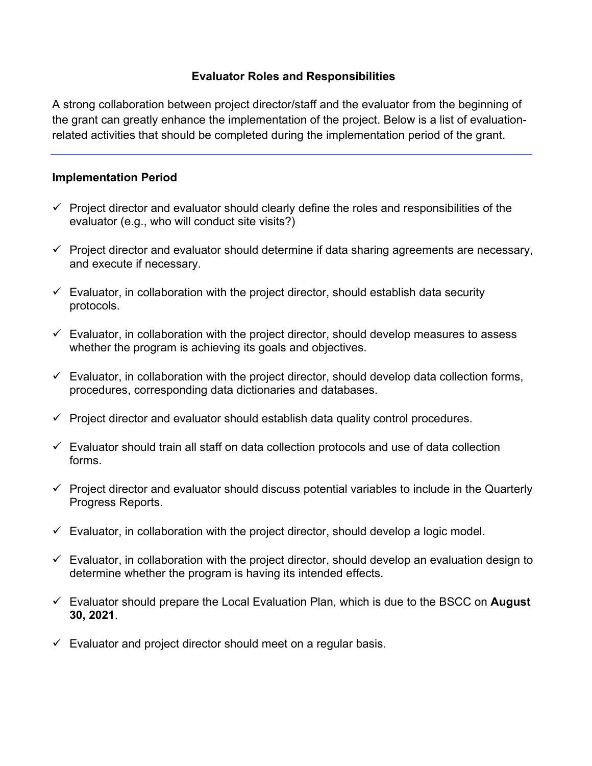## **Evaluator Roles and Responsibilities**

A strong collaboration between project director/staff and the evaluator from the beginning of the grant can greatly enhance the implementation of the project. Below is a list of evaluationrelated activities that should be completed during the implementation period of the grant.

## **Implementation Period**

- $\checkmark$  Project director and evaluator should clearly define the roles and responsibilities of the evaluator (e.g., who will conduct site visits?)
- $\checkmark$  Project director and evaluator should determine if data sharing agreements are necessary, and execute if necessary.
- $\checkmark$  Evaluator, in collaboration with the project director, should establish data security protocols.
- $\checkmark$  Evaluator, in collaboration with the project director, should develop measures to assess whether the program is achieving its goals and objectives.
- $\checkmark$  Evaluator, in collaboration with the project director, should develop data collection forms, procedures, corresponding data dictionaries and databases.
- $\checkmark$  Project director and evaluator should establish data quality control procedures.
- $\checkmark$  Evaluator should train all staff on data collection protocols and use of data collection forms.
- $\checkmark$  Project director and evaluator should discuss potential variables to include in the Quarterly Progress Reports.
- $\checkmark$  Evaluator, in collaboration with the project director, should develop a logic model.
- $\checkmark$  Evaluator, in collaboration with the project director, should develop an evaluation design to determine whether the program is having its intended effects.
- Evaluator should prepare the Local Evaluation Plan, which is due to the BSCC on **August 30, 2021**.
- $\checkmark$  Evaluator and project director should meet on a regular basis.